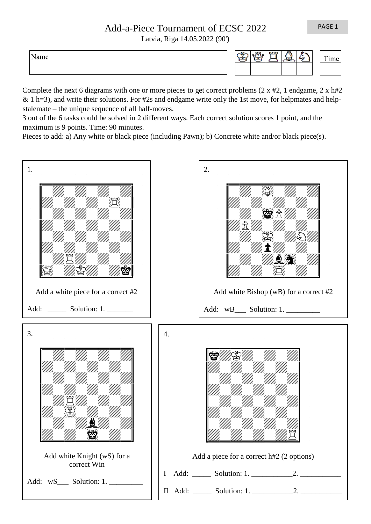PAGE 1

## Add-a-Piece Tournament of ECSC 2022

Latvia, Riga 14.05.2022 (90')

Name

|  | $\sim$ | o o | <b>TUTUT</b> | <b>TER</b><br>- | - 7 | Ē. |  |
|--|--------|-----|--------------|-----------------|-----|----|--|
|  |        |     |              |                 |     |    |  |

Complete the next 6 diagrams with one or more pieces to get correct problems  $(2 \times \text{#2}, 1 \text{ endgame}, 2 \times \text{h#2})$ & 1 h=3), and write their solutions. For #2s and endgame write only the 1st move, for helpmates and helpstalemate – the unique sequence of all half-moves.

3 out of the 6 tasks could be solved in 2 different ways. Each correct solution scores 1 point, and the maximum is 9 points. Time: 90 minutes.

Pieces to add: a) Any white or black piece (including Pawn); b) Concrete white and/or black piece(s).